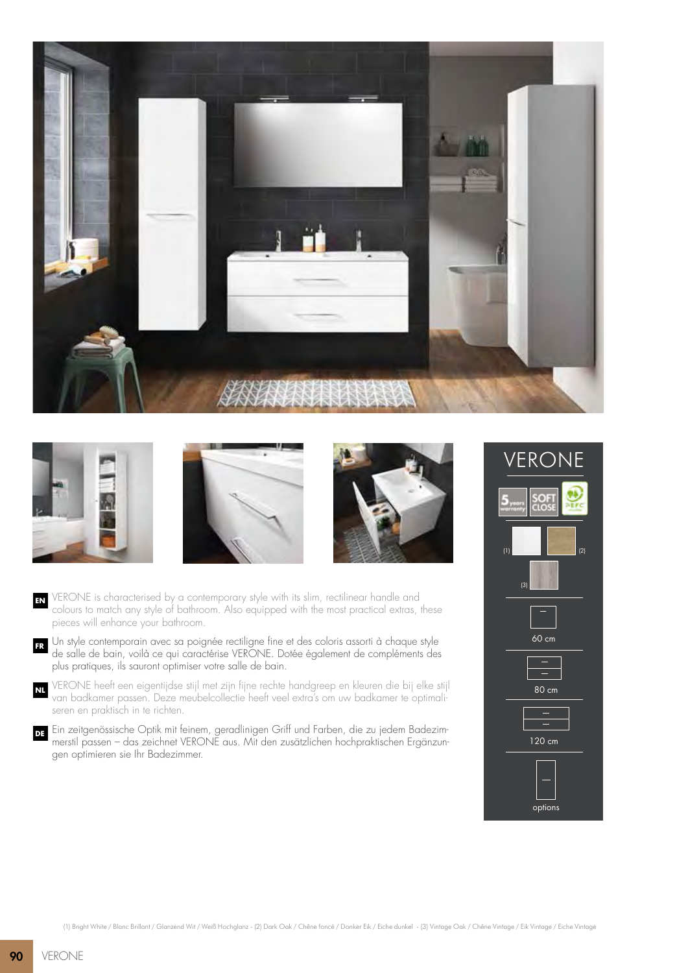







- **EN** VERONE is characterised by a contemporary style with its slim, rectilinear handle and colours to match any style of bathroom. Also equipped with the most practical extras, these pieces will enhance your bathroom.
- **FR** Un style contemporain avec sa poignée rectiligne fine et des coloris assorti à chaque style de salle de bain, voilà ce qui caractérise VERONE. Dotée également de compléments des plus pratiques, ils sauront optimiser votre salle de bain.
- **NL** VERONE heeft een eigentijdse stijl met zijn fijne rechte handgreep en kleuren die bij elke stijl van badkamer passen. Deze meubelcollectie heeft veel extra's om uw badkamer te optimaliseren en praktisch in te richten.
- **DE** Ein zeitgenössische Optik mit feinem, geradlinigen Griff und Farben, die zu jedem Badezimmerstil passen – das zeichnet VERONE aus. Mit den zusätzlichen hochpraktischen Ergänzungen optimieren sie Ihr Badezimmer.

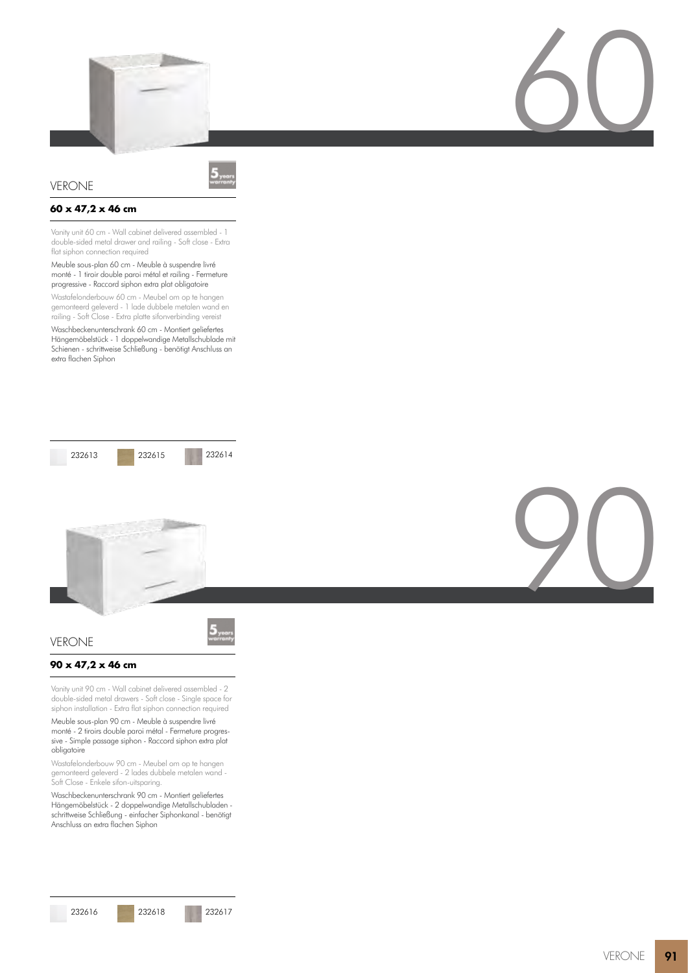



# VERONE

# **60 x 47,2 x 46 cm**

Vanity unit 60 cm - Wall cabinet delivered assembled - 1 double-sided metal drawer and railing - Soft close - Extra flat siphon connection required

### Meuble sous-plan 60 cm - Meuble à suspendre livré monté - 1 tiroir double paroi métal et railing - Fermeture progressive - Raccord siphon extra plat obligatoire

Wastafelonderbouw 60 cm - Meubel om op te hangen gemonteerd geleverd - 1 lade dubbele metalen wand en railing - Soft Close - Extra platte sifonverbinding vereist

Waschbeckenunterschrank 60 cm - Montiert geliefertes Hängemöbelstück - 1 doppelwandige Metallschublade mit Schienen - schrittweise Schließung - benötigt Anschluss an extra flachen Siphon







# **90 x 47,2 x 46 cm**

VERONE

Vanity unit 90 cm - Wall cabinet delivered assembled - 2 double-sided metal drawers - Soft close - Single space for siphon installation - Extra flat siphon connection required

Meuble sous-plan 90 cm - Meuble à suspendre livré monté - 2 tiroirs double paroi métal - Fermeture progressive - Simple passage siphon - Raccord siphon extra plat obligatoire

Wastafelonderbouw 90 cm - Meubel om op te hangen gemonteerd geleverd - 2 lades dubbele metalen wand - Soft Close - Enkele sifon-uitsparing.

Waschbeckenunterschrank 90 cm - Montiert geliefertes Hängemöbelstück - 2 doppelwandige Metallschubladen schrittweise Schließung - einfacher Siphonkanal - benötigt Anschluss an extra flachen Siphon

# 60